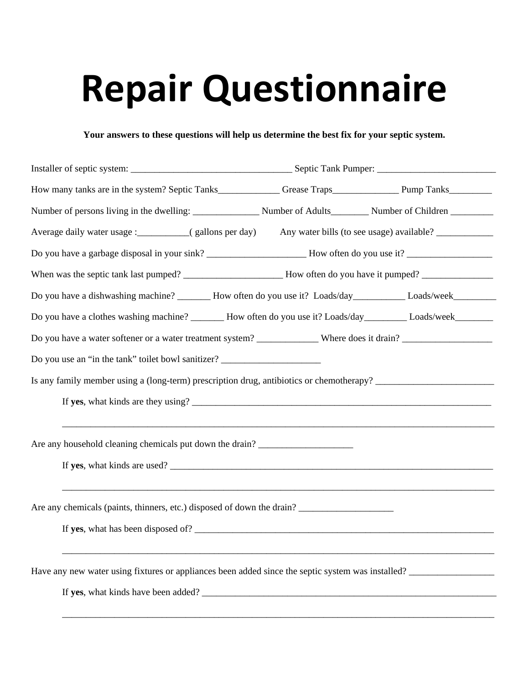## **Repair Questionnaire**

**Your answers to these questions will help us determine the best fix for your septic system.**

| When was the septic tank last pumped? ________________________How often do you have it pumped? _______________                                                                                                                                                                                             |  |  |
|------------------------------------------------------------------------------------------------------------------------------------------------------------------------------------------------------------------------------------------------------------------------------------------------------------|--|--|
| Do you have a dishwashing machine? _______ How often do you use it? Loads/day____________Loads/week__________                                                                                                                                                                                              |  |  |
| Do you have a clothes washing machine? _______ How often do you use it? Loads/day_________ Loads/week________                                                                                                                                                                                              |  |  |
|                                                                                                                                                                                                                                                                                                            |  |  |
| Do you use an "in the tank" toilet bowl sanitizer? _____________________________                                                                                                                                                                                                                           |  |  |
|                                                                                                                                                                                                                                                                                                            |  |  |
|                                                                                                                                                                                                                                                                                                            |  |  |
|                                                                                                                                                                                                                                                                                                            |  |  |
| Are any household cleaning chemicals put down the drain? ________________________                                                                                                                                                                                                                          |  |  |
| If yes, what kinds are used?                                                                                                                                                                                                                                                                               |  |  |
|                                                                                                                                                                                                                                                                                                            |  |  |
| Are any chemicals (paints, thinners, etc.) disposed of down the drain?                                                                                                                                                                                                                                     |  |  |
| If yes, what has been disposed of? $\frac{1}{2}$ $\frac{1}{2}$ $\frac{1}{2}$ $\frac{1}{2}$ $\frac{1}{2}$ $\frac{1}{2}$ $\frac{1}{2}$ $\frac{1}{2}$ $\frac{1}{2}$ $\frac{1}{2}$ $\frac{1}{2}$ $\frac{1}{2}$ $\frac{1}{2}$ $\frac{1}{2}$ $\frac{1}{2}$ $\frac{1}{2}$ $\frac{1}{2}$ $\frac{1}{2}$ $\frac{1}{$ |  |  |
|                                                                                                                                                                                                                                                                                                            |  |  |
| Have any new water using fixtures or appliances been added since the septic system was installed?                                                                                                                                                                                                          |  |  |
| If yes, what kinds have been added?                                                                                                                                                                                                                                                                        |  |  |

\_\_\_\_\_\_\_\_\_\_\_\_\_\_\_\_\_\_\_\_\_\_\_\_\_\_\_\_\_\_\_\_\_\_\_\_\_\_\_\_\_\_\_\_\_\_\_\_\_\_\_\_\_\_\_\_\_\_\_\_\_\_\_\_\_\_\_\_\_\_\_\_\_\_\_\_\_\_\_\_\_\_\_\_\_\_\_\_\_\_\_